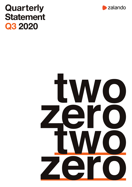# **Quarterly Statement Q3** 2020



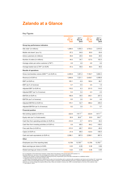# **Zalando at a Glance**

Key Figures

|                                                | Jul $1 -$<br>Sep 30,<br>2020 | Jul $1-$<br>Sep 30,<br>2019 | Jan $1 -$<br>Sep 30,<br>2020 | Jan $1-$<br>Sep 30,<br>2019 |
|------------------------------------------------|------------------------------|-----------------------------|------------------------------|-----------------------------|
| Group key performance indicators               |                              |                             |                              |                             |
| Site visits* (in millions)                     | 1,268.5                      | 1,000.3                     | 3,702.2                      | 2,910.6                     |
| Mobile visit share* (as a %)                   | 87.2                         | 84.8                        | 85.9                         | 83.6                        |
| Active customers (in millions)                 | 35.6                         | 29.5                        | 35.6                         | 29.5                        |
| Number of orders (in millions)                 | 44.0                         | 34.7                        | 127.5                        | 102.3                       |
| Average orders per active customer (LTM**)     | 4.8                          | 4.6                         | 4.8                          | 4.6                         |
| Average basket size (LTM**) (in EUR)           | 57.2                         | 56.6                        | 56.4                         | 56.6                        |
| <b>Results of operations</b>                   |                              |                             |                              |                             |
| Gross merchandise volume (GMV***) (in EUR m)   | 2,455.9                      | 1,891.2                     | 7,192.7                      | 5,664.3                     |
| Revenue (in EUR m)                             | 1,849.8                      | 1,521.1                     | 5,408.7                      | 4,496.6                     |
| EBIT (in EUR m)                                | 105.1                        | $-6.9$                      | 190.4                        | 66.7                        |
| EBIT (as % of revenue)                         | 5.7                          | $-0.5$                      | 3.5                          | 1.5                         |
| Adjusted EBIT (in EUR m)                       | 118.2                        | 6.3                         | 231.5                        | 114.5                       |
| Adjusted EBIT (as % of revenue)                | 6.4                          | 0.4                         | 4.3                          | 2.5                         |
| EBITDA (in EUR m)                              | 156.9                        | 39.5                        | 345.1                        | 207.2                       |
| EBITDA (as % of revenue)                       | 8.5                          | 2.6                         | 6.4                          | 4.6                         |
| Adjusted EBITDA (in EUR m)                     | 170.1                        | 52.7                        | 386.2                        | 255.0                       |
| Adjusted EBITDA (as % of revenue)              | 9.2                          | 3.5                         | 7.1                          | 5.7                         |
| <b>Financial position</b>                      |                              |                             |                              |                             |
| Net working capital (in EUR m)                 | $-222.6$                     | $-147.7***$                 | $-222.6$                     | $-147.7***$                 |
| Equity ratio (as % of total assets)            | 30.9                         | $38.9***$                   | 30.9                         | $38.9$ ***                  |
| Cash flow from operating activities (in EUR m) | 212.5                        | $-0.7$                      | 337.4                        | 84.0                        |
| Cash flow from investing activities (in EUR m) | 0.8                          | $-88.0$                     | $-84.2$                      | $-169.2$                    |
| Free cash flow (in EUR m)                      | 213.3                        | $-88.7$                     | 253.2                        | $-80.6$                     |
| Capex (in EUR m)                               | $-31.9$                      | $-88.0$                     | $-123.0$                     | $-185.5$                    |
| Cash and cash equivalents (in EUR m)           | 2,596.1                      | 867.0                       | 2,596.1                      | 867.0                       |
| Other                                          |                              |                             |                              |                             |
| Employees (as of the reporting date)           | 13,709                       | 13,763***                   | 13,709                       | 13,763****                  |
| Basic earnings per share (in EUR)              | 0.23                         | $-0.05$                     | 0.38                         | 0.06                        |
| Diluted earnings per share (in EUR)            | 0.22                         | $-0.05$                     | 0.36                         | 0.06                        |

For an explanation of the performance indicators, please refer to the glossary to the annual report 2019 (section 4.1).<br>Rounding differences may arise in the percentages and numbers shown in this quarterly statement.<br>\*\*) G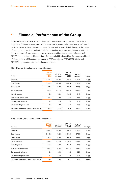## **1.1 Financial Performance of the Group**

In the third quarter of 2020, overall business performance continued to be exceptionally strong. In Q3 2020, GMV and revenue grew by 29.9% and 21.6%, respectively. The strong growth was in particular driven by the accelerated consumer demand shift towards digital offerings in the course of the ongoing coronavirus pandemic. With the outstanding top line growth, Zalando significantly improved its cost of sales ratio, supported by the release of inventory valuation allowances of EUR 35.0m – creating a positive one-time effect on profitability. In addition, the company achieved efficiency gains in fulfillment costs, resulting in EBIT and adjusted EBIT of EUR 105.1m and EUR 118.2m, respectively, for the third quarter of 2020.

#### Third Quarter Consolidated Income Statement

| IN EUR M                                  | $Jul$ 1 $-$<br><b>Sep 30,</b><br>2020 | As % of<br>revenue | Jul $1 -$<br>Sep 30,<br>2019 | As % of<br>revenue | Change            |  |
|-------------------------------------------|---------------------------------------|--------------------|------------------------------|--------------------|-------------------|--|
| Revenue                                   | 1,849.8                               | 100.0%             | 1,521.1                      | 100.0%             | 0.0 <sub>pp</sub> |  |
| Cost of sales                             | $-1,029.2$                            | $-55.6%$           | $-896.4$                     | $-58.9%$           | 3.3 <sub>pp</sub> |  |
| Gross profit                              | 820.7                                 | 44.4%              | 624.7                        | 41.1%              | 3.3 <sub>pp</sub> |  |
| <b>Fulfillment costs</b>                  | $-493.0$                              | $-26.7%$           | $-437.2$                     | $-28.7%$           | 2.1 <sub>pp</sub> |  |
| Marketing costs                           | $-145.4$                              | $-7.9%$            | $-123.0$                     | $-8.1%$            | 0.2 <sub>pp</sub> |  |
| Administrative expenses                   | $-80.1$                               | $-4.3%$            | $-72.9$                      | $-4.8%$            | 0.5 <sub>pp</sub> |  |
| Other operating income                    | 3.7                                   | 0.2%               | 1.8                          | 0.1%               | 0.1 <sub>pp</sub> |  |
| Other operating expenses                  | $-0.9$                                | $0.0\%$            | $-0.2$                       | $0.0\%$            | 0.0 <sub>pp</sub> |  |
| Earnings before interest and taxes (EBIT) | 105.1                                 | 5.7%               | $-6.9$                       | $-0.5%$            | 6.1 <sub>pp</sub> |  |
|                                           |                                       |                    |                              |                    |                   |  |

#### Nine Months Consolidated Income Statement

| IN EUR M                                  | $Jan 1 -$<br><b>Sep 30,</b><br>2020 | As % of<br>revenue | $Jan 1 -$<br>Sep 30,<br>2019 | As % of<br>revenue | Change            |
|-------------------------------------------|-------------------------------------|--------------------|------------------------------|--------------------|-------------------|
| Revenue                                   | 5,408.7                             | 100.0%             | 4,496.6                      | 100.0%             | 0.0 <sub>pp</sub> |
| Cost of sales                             | $-3,146.7$                          | $-58.2%$           | $-2,592.1$                   | $-57.6%$           | $-0.5$ pp         |
| Gross profit                              | 2,262.0                             | 41.8%              | 1,904.5                      | 42.4%              | $-0.5$ pp         |
| <b>Fulfillment costs</b>                  | $-1,466.3$                          | $-27.1%$           | $-1,269.8$                   | $-28.2%$           | 1.1 <sub>pp</sub> |
| Marketing costs                           | $-374.2$                            | $-6.9%$            | $-350.4$                     | $-7.8%$            | 0.9 <sub>pp</sub> |
| Administrative expenses                   | $-245.9$                            | $-4.5%$            | $-221.0$                     | $-4.9%$            | 0.4 <sub>pp</sub> |
| Other operating income                    | 19.3                                | 0.4%               | 10.8                         | 0.2%               | 0.1 <sub>pp</sub> |
| Other operating expenses                  | $-4.5$                              | $-0.1%$            | $-7.3$                       | $-0.2%$            | 0.1 <sub>pp</sub> |
| Earnings before interest and taxes (EBIT) | 190.4                               | 3.5%               | 66.7                         | 1.5%               | 2.0 <sub>pp</sub> |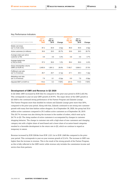#### Key Performance Indicators

|                                              | Jul $1 -$              | Jul $1 -$       |                   | Jan $1 -$              | $Jan 1 -$       |                   |
|----------------------------------------------|------------------------|-----------------|-------------------|------------------------|-----------------|-------------------|
| <b>KEY PERFORMANCE INDICATORS</b>            | <b>Sep 30.</b><br>2020 | Sep 30,<br>2019 | Change            | <b>Sep 30.</b><br>2020 | Sep 30,<br>2019 | Change            |
| Mobile visit share<br>(as % of site visits)  | 87.2                   | 84.8            | 2.4 <sub>pp</sub> | 85.9                   | 83.6            | 2.4 <sub>pp</sub> |
| Active customers (in millions)               | 35.6                   | 29.5            | 20.7%             | 35.6                   | 29.5            | 20.7%             |
| Average orders per active<br>customer (LTM)  | 4.8                    | 4.6             | 3.3%              | 4.8                    | 4.6             | 3.7%              |
| Average basket size<br>(LTM) (in EUR)        | 57.2                   | 56.6            | 1.0%              | 56.4                   | 56.6            | $-0.4%$           |
| Gross merchandise volume<br>(GMV) (in EUR m) | 2,455.9                | 1,891.2         | 29.9%             | 7,192.7                | 5,664.3         | 27.0%             |
| Fulfillment cost ratio<br>(as % of revenue)  | 26.7                   | 28.7            | $-2.1pp$          | 27.1                   | 28.3            | $-1.2$ pp         |
| Marketing cost ratio<br>(as % of revenue)    | 7.9                    | 8.1             | $-0.2$ pp         | 6.9                    | 7.8             | $-0.8$ pp         |
| Adjusted EBIT (in EUR m)                     | 118.2                  | 6.3             | >100%             | 231.5                  | 114.5           | $>100\%$          |

#### **Development of GMV and Revenue in Q3 2020**

In Q3 2020, GMV increased by EUR 564.7m compared to the prior-year period to EUR 2,455.9m. This corresponds to year-on-year GMV growth of 29.9%. The major driver of the GMV growth in Q3 2020 is the continued strong performance of the Partner Program and Zalando Lounge. The Partner Program more than doubled its volume and Zalando Lounge grew more than 50%, compared to the prior-year period. Along with that, Zalando continued to see strong new customer growth with many first-time fashion online shoppers. As of September 30, 2020, the group had 35.6 million active customers compared to 29.5 million active customers as of September 30, 2019. This 20.7% increase was also driving the increase in the number of orders, which went up by 26.7% in Q3. The rising number of active customers is accompanied by changes in customer shopping behavior. The change in customer mix with a high share of new customers and changing category mix with a higher share of need-based and a lower share of occasion-based categories resulted in a favorable development in the return rate in Q3, which we continue to regard as temporary in nature.

Revenue increased by EUR 328.8m from EUR 1,521.1m to EUR 1,849.8m compared to the prioryear period. This corresponds to year-on-year revenue growth of 21.6%. The increase in GMV was higher than the increase in revenue. This is the result of the strong growth of the Partner Program, as this is fully reflected in the GMV metric while revenue only includes the commission income and service fees from partners.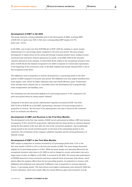#### **Development of EBIT in Q3 2020**

The group achieved a strong profitability level in the third quarter of 2020, recording EBIT of EUR 105.1m (prior year: EUR -6.9m) and a corresponding EBIT margin of 5.7% (prior year: -0.5%).

In Q3 2020, cost of sales rose from EUR 896.4m to EUR 1,029.2m, leading to a gross margin improvement of 3.3 percentage points compared to the prior-year period. The gross margin development is mainly driven by the strong sell-through of spring-summer items, leading to lower overstock levels and hence reduced allowances for goods. In Q3 2020, EUR 35.0m inventory valuation allowances were released, of which EUR 28.9m related to the exceptional inventory writedown of EUR 40.2m that Zalando recognized in Q1 2020 in response to revised sales expectations at the beginning of the coronavirus crisis. In Q2 2020, Zalando had already released EUR 11.3m of this exceptional write-down.

The fulfillment costs in proportion to revenue decreased by 2.1 percentage points in the third quarter of 2020 compared to the prior-year period. The fulfillment cost ratio largely benefited from lower logistic costs, driven by higher utilization rates and overall efficiency gains. Furthermore, lower average return volumes due to a favorable return rate development led to proportionally lower transportation and handling costs.

The marketing cost ratio decreased slightly by 0.2 percentage points to 7.9% compared to the prior-year period driven by strong organic demand.

Compared to the prior-year period, administrative expenses increased by EUR 7.2m from EUR 72.9m to EUR 80.1m in Q3 2020, representing a decrease of 0.5 percentage points in proportion to revenue. The decrease in the administrative cost ratio is driven by the continued focus on overhead cost efficiency.

#### **Development of GMV and Revenue in the First Nine Months**

The development in the first nine months of 2020 can be summarized as follows: GMV and revenue increased by 27.0% and 20.3% respectively, reflecting both the sharp decline in customer demand during the first quarter of the year after the start of the coronavirus pandemic, and exceptionally strong growth in the second and third quarter on the back of the outstanding growth in new customers, the acceleration of the company's platform transition and the strong performance of Zalando Lounge.

#### **Development of EBIT in the First Nine Months**

EBIT margin in proportion to revenue increased by 2.0 percentage points from 1.5% in the first nine months of 2019 to 3.5% in the first nine months of 2020. The gross margin decreased slightly by 0.5 percentage points to 41.8%. While the gross margin was adversely affected by the exceptional inventory write-down in Q1 2020 as well as changes in country and product mix and a larger share of sales via Offprice in Q2 2020, it recovered in Q3 2020. The strong sales performance of SS2020 items led to lower overstocks and hence reduced levels of inventory write-downs, which almost offset the negative effects from the two preceding quarters. In proportion to revenue, both fulfillment and marketing costs decreased. Fulfillment costs in proportion to revenue improved (down 1.1 percentage points). The main drivers were higher warehousing costs during Q1 2020 due to lower utilization, which were clearly offset by overall efficiency gains and economies of scale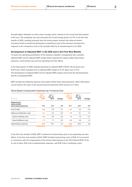through higher utilization as well as lower average return volumes in the second and third quarter of the year. The marketing cost ratio decreased by 0.9 percentage points to 6.9% in the first nine months of 2020, resulting primarily from the strong organic demand and reduced relative investment levels in brand and performance marketing as part of the measures introduced in response to the coronavirus crisis in Q2, partially offset by an elevated spend in Q1 2020.

#### **Development of Adjusted EBIT in Q3 2020 and in the First Nine Months**

To assess the operating performance of the business, Zalando's management also considers adjusted EBIT and the adjusted EBIT margin before expenses for equity-settled share-based payments, restructuring costs and non-operating one-time effects.

In the third quarter of 2020, Zalando generated an adjusted EBIT of EUR 118.2m (prior year: EUR 6.3m), which translates into an adjusted EBIT margin of 6.4% (prior year: 0.4%). The development of adjusted EBIT and the adjusted EBIT margin stems from the aforementioned drivers of unadjusted EBIT.

EBIT includes the following expenses from equity-settled share-based payments. More information can be found in the notes to the annual financial statements 2019 (section 3.5.7 (20.)).

#### Share-Based Compensation Expenses per Functional Area

| IN EUR M                                                      | Jul $1 -$<br>Sep 30,<br>2020 | Jul $1 -$<br>Sep 30,<br>2019 | Change | Jan 1 –<br>Sep 30,<br>2020 | $Jan 1 -$<br>Sep 30,<br>2019 | Change |
|---------------------------------------------------------------|------------------------------|------------------------------|--------|----------------------------|------------------------------|--------|
| <b>Expenses for</b><br>equity-settled<br>share-based payments | 13.2                         | 13.2                         | 0.0    | 41.1                       | 34.7                         | 6.4    |
| Cost of sales                                                 | 0.8                          | 0.9                          | $-0.1$ | 2.7                        | 2.4                          | 0.3    |
| Selling and distribution costs                                | 2.1                          | 2.3                          | $-0.2$ | 7.4                        | 6.1                          | 1.3    |
| thereof marketing costs                                       | 0.4                          | 0.6                          | $-0.2$ | 1.4                        | 1.5                          | $-0.1$ |
| thereof fulfillment costs                                     | 1.7                          | 1.7                          | 0.0    | 6.0                        | 4.6                          | 1.4    |
| Administrative expenses                                       | 10.3                         | 10.0                         | 0.3    | 31.0                       | 26.2                         | 4.8    |

In the first nine months of 2020, EBIT contained no restructuring costs or non-operating one-time effects. In the first nine months of 2019, EBIT included restructuring costs of EUR 13.1m incurred in connection with the reorganization of the private label business in Q1 2019 (thereof EUR 10.3m in cost of sales, EUR 2.4m in administrative expenses, and EUR 0.4m in marketing costs).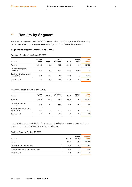# **1.2 Results by Segment**

The condensed segment results for the third quarter of 2020 highlight in particular the outstanding performance of the Offprice segment and the steady growth in the Fashion Store segment.

#### **Segment Development for the Third Quarter**

Segment Results of the Group Q3 2020

| IN EUR M                                     | <b>Fashion</b><br><b>Store</b> | <b>Offprice</b> | All Other<br>Segments | Total   | Recon-<br>ciliation | <b>Total</b><br><b>Group</b> |
|----------------------------------------------|--------------------------------|-----------------|-----------------------|---------|---------------------|------------------------------|
| Revenue                                      | 1,664.3                        | 260.5           | 43.2                  | 1.968.0 | $-118.2$            | 1,849.8                      |
| thereof intersegment<br>revenue              | 108.0                          | 0.0             | 10.2                  | 118.2   | $-118.2$            | 0.0                          |
| Earnings before interest and<br>taxes (EBIT) | 78.0                           | 27.0            | $-4.7$                | 100.3   | 4.8                 | 105.1                        |
| <b>Adjusted EBIT</b>                         | 89.0                           | 28.3            | $-3.9$                | 113.4   | 4.8                 | 118.2                        |

#### Segment Results of the Group Q3 2019

| IN EUR M                                     | <b>Fashion</b><br><b>Store</b> | <b>Offprice</b> | <b>All Other</b><br>Segments | <b>Total</b> | Recon-<br>ciliation | <b>Total</b><br><b>Group</b> |
|----------------------------------------------|--------------------------------|-----------------|------------------------------|--------------|---------------------|------------------------------|
| Revenue                                      | 1.397.8                        | 160.4           | 42.2                         | 1.600.5      | $-79.4$             | 1.521.1                      |
| thereof intersegment<br>revenue              | 68.6                           | 0.0             | 10.8                         | 79.4         | $-79.4$             | 0.0                          |
| Earnings before interest and<br>taxes (EBIT) | $-1.7$                         | 1.9             | $-7.1$                       | $-7.0$       | 0.1                 | $-6.9$                       |
| <b>Adjusted EBIT</b>                         | 9.5                            | 3.2             | $-6.4$                       | 6.2          | 0.1                 | 6.3                          |

Financial information for the Fashion Store segment, including intersegment transactions, breaks down into the regions DACH and Rest of Europe as follows:

#### Fashion Store by Region Q3 2020

| IN EUR M                                  | <b>DACH</b> | <b>Rest of</b><br>Europe | <b>Fashion</b><br><b>Store</b> |
|-------------------------------------------|-------------|--------------------------|--------------------------------|
| Revenue                                   | 764.5       | 899.8                    | 1,664.3                        |
| thereof intersegment revenue              | 57.5        | 50.6                     | 108.0                          |
| Earnings before interest and taxes (EBIT) | 64.0        | 14.0                     | 78.0                           |
| <b>Adjusted EBIT</b>                      | 68.7        | 20.2                     | 89.0                           |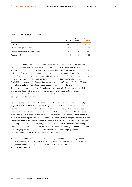#### Fashion Store by Region Q3 2019

| IN EUR M                                  | <b>DACH</b> | <b>Rest of</b><br>Europe | <b>Fashion</b><br><b>Store</b> |
|-------------------------------------------|-------------|--------------------------|--------------------------------|
| Revenue                                   | 666.7       | 731.1                    | 1,397.8                        |
| thereof intersegment revenue              | 33.9        | 34.7                     | 68.6                           |
| Earnings before interest and taxes (EBIT) | 34.5        | $-36.2$                  | $-1.7$                         |
| <b>Adjusted EBIT</b>                      | 40.1        | $-30.7$                  | 9.5                            |

In Q3 2020, revenue in the Fashion Store segment grew by 19.1% compared to the prior-year period, continuing the strong reacceleration of growth in Q2 2020 compared to Q1 2020. The revenue increase in the third quarter was supported by a significant increase in the number of orders, benefiting from the exceptionally high new customer acquisition. This was the combined result of the accelerated platform transition which allows Zalando to offer customers an even more attractive assortment and the accelerated consumer demand shift towards online shopping. Profitability was strong in the Fashion Store segment, with an EBIT margin of 4.7% in Q3 2020, equivalent to an increase of 4.8 percentage points compared to the prior-year period. The improvement was mainly driven by an increased gross margin. Strong seasonal sales led to lower overstock levels and hence reduced allowances on inventories. On top of that, fulfillment cost in relation to revenue improved on the back of efficiency gains and favorable developments in the return rate.

Zalando Lounge's outstanding performance was the driver of the revenue increase in the Offprice segment of 62.4% in Q3 2020 compared to the prior-year period. In the third quarter Zalando Lounge experienced continued growth in its customer base and daily active users as well as an improved gross basket value. At the same time, the Outlet stores, which were hit by the mandatory store closures as part of the government-imposed coronavirus containment measures, started to recover faster than expected thanks to the contribution of new store openings (Mannheim, Ulm and Düsseldorf). In total, the Offprice segment recorded an EBIT of EUR 27.0m with the EBIT margin increasing from 1.2% in the prior-year period to 10.4% in Q3 2020. The increase was mainly caused by an improved fulfillment cost ratio due to warehouse efficiency gains and favorable return rates, a slightly improved administrative cost ratio and marketing savings, partly offset by a decreased gross profit margin driven by higher discount levels.

The coronavirus crisis continued to impact the growth performance of all other segments in Q3 2020. Revenue grew only slightly by 2.3% compared to the prior-year period, while the EBIT margin improved by 6.0 percentage points to -10.9% as a result of cost structure improvements.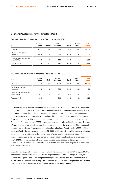#### **Segment Development for the First Nine Months**

Segment Results of the Group for the First Nine Months 2020

| IN EUR M                                     | <b>Fashion</b><br><b>Store</b> | <b>Offprice</b> | <b>All Other</b><br><b>Segments</b> | <b>Total</b> | Recon-<br>ciliation | <b>Total</b><br><b>Group</b> |
|----------------------------------------------|--------------------------------|-----------------|-------------------------------------|--------------|---------------------|------------------------------|
| Revenue                                      | 4.926.2                        | 697.5           | 120.7                               | 5.744.3      | $-335.6$            | 5,408.7                      |
| thereof intersegment<br>revenue              | 307.8                          | 0.0             | 27.9                                | 335.6        | $-335.6$            | 0.0                          |
| Earnings before interest and<br>taxes (EBIT) | 153.3                          | 47.6            | $-14.5$                             | 186.4        | 4.1                 | 190.5                        |
| <b>Adjusted EBIT</b>                         | 187.5                          | 51.9            | $-12.0$                             | 227.4        | 4.1                 | 231.5                        |
|                                              |                                |                 |                                     |              |                     |                              |

#### Segment Results of the Group for the First Nine Months 2019

| IN EUR M                                     | <b>Fashion</b><br><b>Store</b> | <b>Offprice</b> | All Other<br>Segments | <b>Total</b> | Recon-<br>ciliation | <b>Total</b><br><b>Group</b> |  |
|----------------------------------------------|--------------------------------|-----------------|-----------------------|--------------|---------------------|------------------------------|--|
| Revenue                                      | 4.144.4                        | 452.9           | 190.1                 | 4.787.4      | $-290.8$            | 4,496.6                      |  |
| thereof intersegment<br>revenue              | 192.8                          | 0.0             | 98.0                  | 290.8        | $-290.8$            | 0.0                          |  |
| Earnings before interest and<br>taxes (EBIT) | 92.7                           | 10.5            | $-37.1$               | 66.1         | 0.6                 | 66.7                         |  |
| <b>Adjusted EBIT</b>                         | 121.4                          | 14.0            | $-21.6$               | 113.8        | 0.6                 | 114.5                        |  |

In the Fashion Store segment, revenue rose by 18.9% in the first nine months of 2020 compared to the corresponding prior-year period. This development reflects a combination of the steep decline in customer demand during the first quarter of the year at the start of the coronavirus pandemic and exceptionally strong growth in the second and third quarter. The EBIT margin in the Fashion Store segment increased by 0.9 percentage points from 2.2% in the first nine months of 2019 to 3.1% in the first nine months of 2020. Key drivers were cost of sales and fulfillment costs. The cost of sales ratio increased slightly compared to the corresponding prior-year period. The exceptional inventory write-offs as well as the country and product mix effects from Q1 and Q2 2020 could not be fully offset by the positive development in Q3 2020, which was driven by high seasonal sales that resulted in lower overstock and allowances on inventories. Overall, the fulfillment cost ratio improved compared to the prior-year period. It recovered fully from the effects of underutilization in Q1 2020 through significant efficiency gains and economies of scale in Q2 and Q3 2020. In addition, lower marketing investments led to a slightly improved marketing cost ratio compared to the prior-year period.

In the Offprice segment, revenue grew by 54.0% in the first nine months of 2020 compared to the corresponding prior-year period. The Offprice segment recorded an EBIT margin of 6.8%, an increase of 4.5 percentage points compared to the prior-year period. The strong performance is mostly attributable to the outstanding development of Zalando Lounge during the first nine months, while the reduced sales volume of our Zalando Outlets had a smaller impact.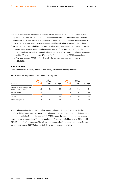In all other segments total revenue declined by 36.5% during the first nine months of the year compared to the prior-year period, the main reason being the reorganization of the private label business in Q1 2019. The private label business was integrated into the Fashion Store segment in Q2 2019. Hence, private label business revenue shifted from all other segments to the Fashion Store segment. As private label business revenue solely comprises intersegment transactions with the Fashion Store segment, the shift did not impact Fashion Store revenue. In addition, the coronavirus pandemic slowed growth in all other segments. The EBIT margin in all other segments increased by 7.5 percentage points to -12.0% in the first nine months of 2020 in comparison to the first nine months of 2019, mainly driven by the fact that no restructuring costs were incurred in 2020.

#### **Adjusted EBIT**

EBIT comprises the following expenses from equity-settled share-based payments:

| IN EUR M                                                  | $J$ ul 1 $-$<br>Sep 30,<br>2020 | $Jul$ 1 $-$<br>Sep 30,<br>2019 | Change | Jan $1 -$<br><b>Sep 30.</b><br>2020 | Jan $1 -$<br>Sep 30,<br>2019 | Change |
|-----------------------------------------------------------|---------------------------------|--------------------------------|--------|-------------------------------------|------------------------------|--------|
| <b>Expenses for equity-settled</b><br>share-based payment | 13.2                            | 13.2                           | 0.0    | 41.1                                | 34.7                         | 6.4    |
| <b>Fashion Store</b>                                      | 11.0                            | 11.2                           | $-0.2$ | 34.2                                | 28.8                         | 5.4    |
| Offprice                                                  | 1.3                             | 1.3                            | 0.0    | 4.3                                 | 3.4                          | 0.9    |
| All other segments                                        | 0.8                             | 0.7                            | 0.1    | 2.5                                 | 2.5                          | 0.0    |

#### Share-Based Compensation Expenses per Segment

The development in adjusted EBIT resulted almost exclusively from the drivers described for unadjusted EBIT above as no restructuring or other one-time effects were recorded during the first nine months of 2020. In the prior-year period, EBIT included the above-mentioned restructuring costs incurred in connection with the reorganization of the private label business in Q1 2019 with EUR 13.1m in all other segments. The private label business has been integrated into the Fashion Store segment since Q2 2019. Prior to that, it was part of all other segments.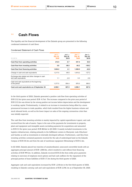### **1.3 Cash Flows**

The liquidity and the financial development of the Zalando group are presented in the following condensed statement of cash flows:

Condensed Statement of Cash Flows

| IN EUR M                                                                | $Jul$ 1 $-$<br><b>Sep 30,</b><br>2020 | $Jul 1 -$<br>Sep 30,<br>2019 | $Jan 1 -$<br><b>Sep 30.</b><br>2020 | Jan 1 –<br>Sep 30,<br>2019 |
|-------------------------------------------------------------------------|---------------------------------------|------------------------------|-------------------------------------|----------------------------|
| Cash flow from operating activities                                     | 212.5                                 | $-0.7$                       | 337.4                               | 84.0                       |
| Cash flow from investing activities                                     | 0.8                                   | $-88.0$                      | $-84.2$                             | $-169.2$                   |
| Cash flow from financing activities                                     | 1,004.2                               | 4.1                          | 1,366.0                             | $-42.0$                    |
| Change in cash and cash equivalents                                     | 1.217.5                               | $-84.6$                      | 1.619.2                             | $-127.2$                   |
| Exchange-rate related and other changes in cash<br>and cash equivalents | 1.1                                   | $-2.8$                       | 0.3                                 | $-0.8$                     |
| Cash and cash equivalents at the beginning<br>of the period             | 1.377.5                               | 954.4                        | 976.5                               | 995.0                      |
| Cash and cash equivalents as of September 30                            | 2,596.1                               | 867.0                        | 2.596.1                             | 867.0                      |

In the third quarter of 2020, Zalando generated a positive cash flow from operating activities of EUR 212.5m (prior-year period: EUR -0.7m). The increase compared to the prior-year period of EUR 213.2m was driven by the strong positive net income before depreciation and the development in working capital. Predominantly, it related to an increase in inventories being offset by a more pronounced increase in trade payables, which both resulted from the higher business volume and stock inbound levels, as well as the lower impact on sales of the ongoing coronavirus crisis than was initially expected.

The cash flow from investing activities is mainly impacted by capital expenditures (capex), and cash received from the sale of assets. Capex is the sum of the payments for investments in property, plant and equipment and intangible assets excluding payments for acquisitions and amounted to EUR 31.9m (prior-year period: EUR 88.0m) in Q3 2020. It mainly included investments in the logistics infrastructure, relating primarily to the fulfillment centers in Olsztynek, Lodz (Gluchow) and Gardno as well as investments in internally developed software. Furthermore, cash flow from investing activities contained payments received for the sale of undeveloped land on the Zalando Campus of EUR 30.3m and from the sale of warehouse equipment (Brieselang) of EUR 2.4m.

In Q3 2020, Zalando placed two tranches of unsubordinated, unsecured convertible bonds with an aggregate principal amount of EUR 1,000.0m, which resulted in cash inflows from financing activities of EUR 999.2m. In addition, Zalando received EUR 23.0m from strike price payments relating to exercises of employee stock options and had cash outflows for the repayment of the principal portion of lease liabilities of EUR 17.3m during the third quarter of 2020.

Aggregate cash and cash equivalents increased by EUR 1,218.6m in the first third quarter of 2020, resulting in Zalando carrying cash and cash equivalents of EUR 2,596.1m as of September 30, 2020.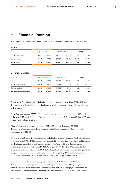The group's financial position is shown in the following condensed statement of financial position.

#### Assets

| IN EUR M              | Sep 30, 2020 |        | Dec 31, 2019 |        | Change  |       |
|-----------------------|--------------|--------|--------------|--------|---------|-------|
| Non-current assets    | 1.482.1      | 23.0%  | 1.455.1      | 33.6%  | 27.0    | 1.9%  |
| <b>Current assets</b> | 4.947.8      | 77.0%  | 2.878.0      | 66.4%  | 2.069.8 | 71.9% |
| <b>Total assets</b>   | 6.429.9      | 100.0% | 4.333.1      | 100.0% | 2.096.8 | 48.4% |

#### Equity and Liabilities

| IN EUR M                            | Sep 30, 2020 |        | Dec 31, 2019 |        | Change  |        |  |
|-------------------------------------|--------------|--------|--------------|--------|---------|--------|--|
| Equity                              | 1.988.9      | 30.9%  | 1.683.8      | 38.9%  | 305.2   | 18.1%  |  |
| Non-current liabilities             | 1.805.5      | 28.1%  | 542.6        | 12.5%  | 1.262.9 | 232.7% |  |
| <b>Current liabilities</b>          | 2.635.4      | 41.0%  | 2.106.7      | 48.6%  | 528.7   | 25.1%  |  |
| <b>Total equity and liabilities</b> | 6.429.9      | 100.0% | 4.333.1      | 100.0% | 2.096.8 | 48.4%  |  |

Compared to December 31, 2019, Zalando's total assets increased by 48.4% to EUR 6,429.9m. The statement of financial position is dominated by working capital, cash and cash equivalents as well as equity.

In the first nine months of 2020, additions to property, plant and equipment totaled EUR 109.1m (prior year: EUR 138.1m), mainly relating to the fulfillment centers in Rotterdam (Bleiswijk), Verona (Nogarole Rocca) and Olsztynek.

Right-of-use assets had a carrying amount of EUR 498.5m as of September 30, 2020. These were primarily driven by lease contracts for fulfillment centers and office buildings in accordance with IFRS 16.

Inventories mainly comprise goods required for Zalando's wholesale business. The 34.4% increase in inventories to EUR 1,476.2m predominantly resulted from higher business volume and increased stock inbound levels. Driven by the strong sell-through of seasonal items, Zalando was able to release allowances on inventories of EUR 35.0m in Q3 2020. Of this, EUR 29.5m related to the exceptional inventory write-down of EUR 40.2m that Zalando recognized during the first quarter of the year in response to revised sales expectations at the beginning of the coronavirus crisis. In Q2 2020 Zalando had already released EUR 11.3m of the exceptional write-down.

In the first nine months of 2020, equity increased from EUR 1,683.8m to EUR 1,988.9m. The EUR 305.2m increase primarily stems from the positive net income of the period, from convertible bonds, from share-based compensation and from strike price payments received for employee stock option exercises. The equity ratio decreased from 38.9% at the beginning of the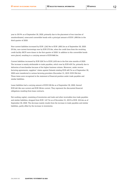year to 30.9% as of September 30, 2020, primarily due to the placement of two tranches of unsubordinated, unsecured convertible bonds with a principal amount of EUR 1,000.0m in the third quarter of 2020.

Non-current liabilities increased by EUR 1,262.9m to EUR 1,805.5m as of September 30, 2020. Of this, non-current borrowings rose by EUR 375.0m, when the credit lines from the revolving credit facility (RCF) were drawn in the first quarter of 2020. In addition to this convertible bonds were placed, resulting in a carrying amount of EUR 868.5m.

Current liabilities increased by EUR 528.7m to EUR 2,635.4m in the first nine months of 2020. The increase is mainly attributable to trade payables, which rose by EUR 459.7m, primarily due to deliveries of merchandise because of the higher business volume. Moreover, under reverse factoring agreements, suppliers' claims against Zalando totaling EUR 449.7m as of September 30, 2020 were transferred to various factoring providers (December 31, 2019: EUR 394.5m). These items were recognized in the statement of financial position under trade payables and similar liabilities.

Lease liabilities had a carrying amount of EUR 530.0m as of September 30, 2020, thereof EUR 461.8m non-current and EUR 38.6m current. They represent the discounted financial obligations resulting from lease contracts.

Net working capital, consisting of inventories and trade and other receivables less trade payables and similar liabilities, dropped from EUR -147.7m as of December 31, 2019 to EUR -222.6m as of September 30, 2020. The decrease mainly results from the increase in trade payables and similar liabilities, partly offset by the increase in inventories.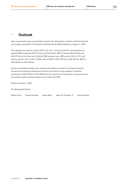### **1.5 Outlook**

After exceptionally strong and profitable growth in the third quarter, Zalando raised its latest full year guidance provided in the Quarterly Statement for Q2 2020 published on August 11, 2020.

The company now expects to grow GMV by 25-27%, revenue by 20-22% and anticipates an adjusted EBIT of between EUR 375.0m and EUR 425.0m, EBIT of between EUR 325.0m and EUR 375.0m for the fiscal year 2020 (Q2 2020 guidance was: GMV growth: 20% to 25% and revenue growth: 15% to 20% in 2020, adjusted EBIT of EUR 250.0m to EUR 300.0m, EBIT of EUR 200.0m to EUR 250.0m).

As part of its platform strategy, the company will continue to invest in its European logistics network and technology infrastructure and has not revised its capex guidance of planned investments of EUR 230.0m to EUR 280.0m for the current year. Furthermore, the group expects net working capital to remain negative for the fiscal year 2020.

Berlin, November 4, 2020

The Management Board

Robert Gentz David Schneider Rubin Ritter James M. Freeman, II David Schröder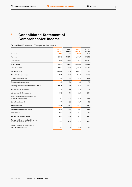# **2.1 Consolidated Statement of Comprehensive Income**

Consolidated Statement of Comprehensive Income

| IN EUR M                                                             | Jul $1 -$<br>Sep 30,<br>2020 | Jul $1 -$<br>Sep 30,<br>2019 | Jan $1 -$<br>Sep 30,<br>2020 | Jan 1 –<br>Sep 30,<br>2019 |
|----------------------------------------------------------------------|------------------------------|------------------------------|------------------------------|----------------------------|
| Revenue                                                              | 1.849.8                      | 1,521.1                      | 5,408.7                      | 4.496.6                    |
| Cost of sales                                                        | $-1,029.2$                   | $-896.4$                     | $-3,146.7$                   | $-2,592.1$                 |
| <b>Gross profit</b>                                                  | 820.7                        | 624.7                        | 2,262.0                      | 1,904.5                    |
| <b>Fulfillment costs</b>                                             | $-493.0$                     | $-437.2$                     | $-1.466.3$                   | $-1,269.8$                 |
| Marketing costs                                                      | $-145.4$                     | $-123.0$                     | $-374.2$                     | $-350.4$                   |
| Administrative expenses                                              | $-80.1$                      | $-72.9$                      | $-245.9$                     | $-221.0$                   |
| Other operating income                                               | 3.7                          | 1.8                          | 19.3                         | 10.8                       |
| Other operating expenses                                             | $-0.9$                       | $-0.2$                       | $-4.5$                       | $-7.3$                     |
| Earnings before interest and taxes (EBIT)                            | 105.1                        | $-6.9$                       | 190.4                        | 66.7                       |
| Interest and similar income                                          | 1.9                          | 2.4                          | 5.6                          | 7.9                        |
| Interest and similar expenses                                        | $-15.6$                      | $-7.5$                       | $-32.6$                      | $-20.4$                    |
| Result of investments accounted for<br>using the equity method       | 0.0                          | $-0.5$                       | 0.0                          | $-3.9$                     |
| Other financial result                                               | $-0.7$                       | $-6.2$                       | $-8.7$                       | $-3.8$                     |
| <b>Financial result</b>                                              | $-14.3$                      | $-11.7$                      | $-35.7$                      | $-20.2$                    |
| Earnings before taxes (EBT)                                          | 90.8                         | $-18.6$                      | 154.7                        | 46.5                       |
| Income taxes                                                         | $-32.3$                      | 5.0                          | $-60.1$                      | $-32.2$                    |
| Net income for the period                                            | 58.5                         | $-13.6$                      | 94.7                         | 14.3                       |
| Thereof net income attributable to the<br>shareholders of ZALANDO SE | 58.5                         | $-13.6$                      | 94.7                         | 14.3                       |
| Thereof net income attributable to<br>non-controlling interests      | 0.0                          | 0.0                          | 0.0                          | 0.0                        |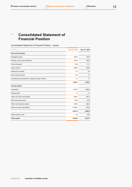# **2.2 Consolidated Statement of Financial Position**

Consolidated Statement of Financial Position – Assets

| IN EUR M                                          | Sep 30, 2020 | Dec 31, 2019 |
|---------------------------------------------------|--------------|--------------|
| <b>Non-current assets</b>                         |              |              |
| Intangible assets                                 | 200.2        | 192.8        |
| Property, plant and equipment                     | 749.2        | 708.4        |
| <b>Financial assets</b>                           | 16.6         | 10.1         |
| Lease assets                                      | 498.5        | 525.6        |
| Deferred tax assets                               | 9.7          | 9.2          |
| Non-financial assets                              | 6.2          | 7.3          |
| Investments accounted for using the equity method | 1.7          | 1.7          |
|                                                   | 1,482.1      | 1,455.1      |
| <b>Current assets</b>                             |              |              |
| Inventories                                       | 1,476.2      | 1,098.3      |
| Prepayments                                       | 1.1          | 0.1          |
| Trade and other receivables                       | 469.1        | 462.3        |
| Other financial assets                            | 96.0         | 42.8         |
| Other non-financial assets                        | 309.4        | 262.2        |
| Cash and cash equivalents                         | 2,596.1      | 976.5        |
|                                                   | 4,947.8      | 2,842.2      |
| Assets held for sale                              | 0.0          | 35.9         |
| <b>Total assets</b>                               | 6,429.9      | 4,333.1      |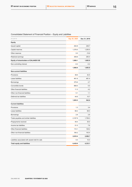| IN EUR M                                         | Sep 30, 2020 | Dec 31, 2019 |
|--------------------------------------------------|--------------|--------------|
| <b>Equity</b>                                    |              |              |
| Issued capital                                   | 252.8        | 248.7        |
| Capital reserves                                 | 1,376.5      | 1,200.5      |
| Other reserves                                   | 0.0          | $-15.6$      |
| Retained earnings                                | 359.8        | 250.4        |
| Equity of shareholders of ZALANDO SE             | 1,989.1      | 1,683.9      |
| Non-controlling interest                         | $-0.2$       | $-0.2$       |
|                                                  | 1,988.9      | 1,683.8      |
| <b>Non-current liabilities</b>                   |              |              |
| Provisions                                       | 38.6         | 42.5         |
| Lease liabilities                                | 461.8        | 481.4        |
| Borrowings                                       | 375.6        | 2.7          |
| Convertible bonds                                | 868.5        | 0.0          |
| Other financial liabilities                      | 11.3         | 4.2          |
| Other non-financial liabilities                  | 5.1          | 1.1          |
| Deferred tax liabilities                         | 44.6         | 10.7         |
|                                                  | 1,805.5      | 542.6        |
| <b>Current liabilities</b>                       |              |              |
| Provisions                                       | 1.3          | 3.4          |
| Lease liabilities                                | 68.2         | 68.0         |
| Borrowings                                       | 2.8          | 2.8          |
| Trade payables and similar liabilities           | 2,167.9      | 1,708.3      |
| Prepayments received                             | 49.4         | 35.0         |
| Income tax liabilities                           | 51.5         | 7.6          |
| Other financial liabilities                      | 110.1        | 128.2        |
| Other non-financial liabilities                  | 184.2        | 143.4        |
|                                                  | 2,635.4      | 2,096.7      |
| Liabilities associated with assets held for sale | 0.0          | 10.0         |
| Total equity and liabilities                     | 6,429.9      | 4,333.1      |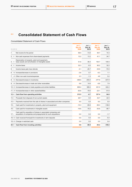# **2.3 Consolidated Statement of Cash Flows**

#### Consolidated Statement of Cash Flows

| IN EUR M                                                                                                                                     | Jul $1 -$<br>Sep 30.<br>2020 | $Jul$ 1 $-$<br>Sep 30,<br>2019 | Jan 1 –<br>Sep 30.<br>2020 | Jan 1-<br>Sep 30.<br>2019 |
|----------------------------------------------------------------------------------------------------------------------------------------------|------------------------------|--------------------------------|----------------------------|---------------------------|
| Net income for the period<br>1.                                                                                                              | 58.5                         | $-13.6$                        | 94.7                       | 14.3                      |
| Non-cash expenses from share-based payments<br>$2. +$                                                                                        | 13.2                         | 13.2                           | 41.1                       | 34.7                      |
| Depreciation of property, plant and equipment,<br>lease assets and amortization of intangible assets<br>3. +                                 | 51.8                         | 46.4                           | 154.7                      | 140.5                     |
| Income taxes<br>$4. +$                                                                                                                       | 32.3                         | $-5.0$                         | 60.2                       | 32.2                      |
| Income taxes paid, less refunds<br>5. -                                                                                                      | $-3.1$                       | $-20.7$                        | $-34.9$                    | $-74.5$                   |
| 6. +/- Increase/decrease in provisions                                                                                                       | $-3.6$                       | 0.7                            | $-6.3$                     | 1.1                       |
| 7. -/+ Other non-cash income/expenses                                                                                                        | 2.3                          | $-1.3$                         | 4.8                        | 5.2                       |
| 8. +/- Decrease/increase in inventories                                                                                                      | $-458.5$                     | $-404.4$                       | $-377.9$                   | $-447.9$                  |
| 9. +/- Decrease/increase in trade and other receivables                                                                                      | 6.8                          | 14.6                           | $-6.8$                     | 7.8                       |
| 10. +/- Increase/decrease in trade payables and similar liabilities                                                                          | 606.4                        | 389.0                          | 431.0                      | 422.2                     |
| 11. -/+ Increase/decrease in other assets/liabilities                                                                                        | $-93.6$                      | $-19.5$                        | $-23.1$                    | $-51.6$                   |
| 12. = Cash flow from operating activities                                                                                                    | 212.5                        | $-0.7$                         | 337.4                      | 84.0                      |
| Proceeds from disposal of non-current assets<br>$13. +$                                                                                      | 26.7                         | 0.0                            | 32.7                       | 22.5                      |
| Payments received from the sale of shares in associated and other companies<br>$14. +$                                                       | 6.0                          | 0.0                            | 6.0                        | 0.0                       |
| Cash paid for investments in property, plant and equipment<br>$15. -$                                                                        | $-15.3$                      | $-69.8$                        | $-69.3$                    | $-136.8$                  |
| Cash paid for investments in intangible assets<br>$16. -$                                                                                    | $-16.6$                      | $-18.2$                        | $-53.6$                    | $-48.7$                   |
| Cash paid for acquisition of shares in associated companies and<br>acquisition of companies and prepayments for such acquisitions<br>$17. -$ | 0.0                          | 0.0                            | 0.0                        | $-1.7$                    |
| 18. +/- Cash received from/paid for investments in term deposits                                                                             | 0.0                          | 0.0                            | 0.0                        | $-5.0$                    |
| 19. +/- Change in restricted cash                                                                                                            | 0.0                          | 0.0                            | 0.0                        | 0.4                       |
| 20. = Cash flow from investing activities                                                                                                    | 0.8                          | $-88.0$                        | $-84.2$                    | $-169.2$                  |
|                                                                                                                                              |                              |                                |                            |                           |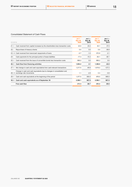#### Consolidated Statement of Cash Flows

| IN EUR M |                                                                                                            | $Jul$ 1 $-$<br><b>Sep 30.</b><br>2020 | $Jul$ 1 –<br>Sep 30,<br>2019 | $Jan 1 -$<br><b>Sep 30,</b><br>2020 | $Jan 1 -$<br>Sep 30,<br>2019 |
|----------|------------------------------------------------------------------------------------------------------------|---------------------------------------|------------------------------|-------------------------------------|------------------------------|
| $21. +$  | Cash received from capital increases by the shareholders less transaction costs                            | 23.0                                  | 20.4                         | 44.1                                | 37.0                         |
| $22. -$  | Repurchase of treasury shares                                                                              | 0.0                                   | 0.0                          | 0.0                                 | $-38.8$                      |
|          | 23. +/- Cash received from loans/cash repayments of loans                                                  | $-0.7$                                | $-1.0$                       | 372.9                               | $-2.1$                       |
| $24. -$  | Cash payments for the principal portion of lease liabilities                                               | $-17.3$                               | $-15.3$                      | $-50.1$                             | $-38.1$                      |
| $25. +$  | Cash received from the issue of convertible bonds less transaction costs                                   | 999.2                                 | 0.0                          | 999.2                               | 0.0                          |
| $26. =$  | Cash flow from financing activities                                                                        | 1,004.2                               | 4.1                          | 1,366.0                             | $-42.0$                      |
| $27. =$  | Net change in cash and cash equivalents from cash-relevant transactions                                    | 1,217.5                               | $-84.6$                      | 1,619.2                             | $-127.2$                     |
|          | Change in cash and cash equivalents due to changes in consolidation and<br>28. +/- exchange rate movements | 1.1                                   | $-2.8$                       | 0.3                                 | $-0.8$                       |
| $29. +$  | Cash and cash equivalents at the beginning of the period                                                   | 1,377.5                               | 954.4                        | 976.5                               | 995.0                        |
| $30. =$  | Cash and cash equivalents as of September 30                                                               | 2,596.1                               | 867.0                        | 2,596.1                             | 867.0                        |
|          | Free cash flow                                                                                             | 213.3                                 | $-88.7$                      | 253.2                               | $-80.6$                      |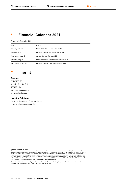# **3.1 Financial Calendar 2021**

Financial Calendar 2021

| Date                  | Event                                          |  |
|-----------------------|------------------------------------------------|--|
| Tuesday, March 2      | Publication of the Annual Report 2020          |  |
| Thursday, May 6       | Publication of the first quarter results 2021  |  |
| Wednesday, May 19     | Annual General Meeting 2021                    |  |
| Thursday, August 5    | Publication of the second quarter results 2021 |  |
| Wednesday, November 3 | Publication of the third quarter results 2021  |  |

# **3.2 Imprint**

#### **Contact**

ZALANDO SE Valeska-Gert-Straße 5 10243 Berlin [corporate.zalando.com](http://corporate.zalando.com/) [press@zalando.com](mailto:press@zalando.com)

#### **Investor Relations**

Patrick Kofler / Head of Investor Relations [investor.relations@zalando.de](mailto:investor.relations@zalando.de)

**Statement Relating to the Future**<br>This quarterly statement contains statements that relate to the future and are based on assumptions and estimates made by the management of<br>Za∟avoose. Even if the management is of the op results may vary from these assumptions and estimates as a result of a variety of factors. These factors include, for example, changes to the overall<br>economic environment, the statutory and regulatory conditions in Gemany statement. It is neither the intention of zʌɹʌพɒo sɛ nor does zʌɹʌพɒo sɛ accept a special obligation to update statements related to the future in order to align<br>them with events or developments that take place after this

The quarterly statement is available in English. If there are variances, the German version has priority over the English translation. It is available for<br>download in both languages at https://corporate.zalando.com/en/inve